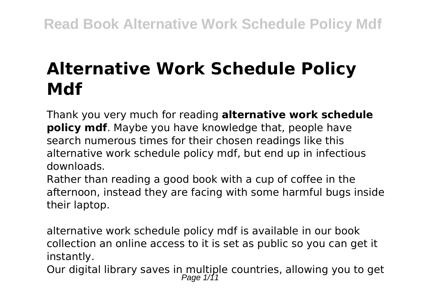# **Alternative Work Schedule Policy Mdf**

Thank you very much for reading **alternative work schedule policy mdf**. Maybe you have knowledge that, people have search numerous times for their chosen readings like this alternative work schedule policy mdf, but end up in infectious downloads.

Rather than reading a good book with a cup of coffee in the afternoon, instead they are facing with some harmful bugs inside their laptop.

alternative work schedule policy mdf is available in our book collection an online access to it is set as public so you can get it instantly.

Our digital library saves in multiple countries, allowing you to get<br> $P_{\text{age 1/11}}$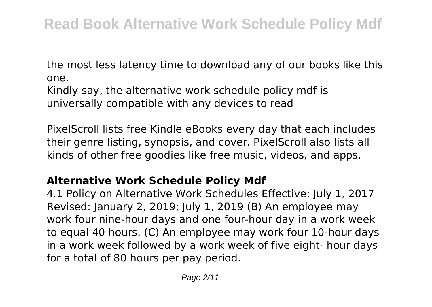the most less latency time to download any of our books like this one.

Kindly say, the alternative work schedule policy mdf is universally compatible with any devices to read

PixelScroll lists free Kindle eBooks every day that each includes their genre listing, synopsis, and cover. PixelScroll also lists all kinds of other free goodies like free music, videos, and apps.

### **Alternative Work Schedule Policy Mdf**

4.1 Policy on Alternative Work Schedules Effective: July 1, 2017 Revised: January 2, 2019; July 1, 2019 (B) An employee may work four nine-hour days and one four-hour day in a work week to equal 40 hours. (C) An employee may work four 10-hour days in a work week followed by a work week of five eight- hour days for a total of 80 hours per pay period.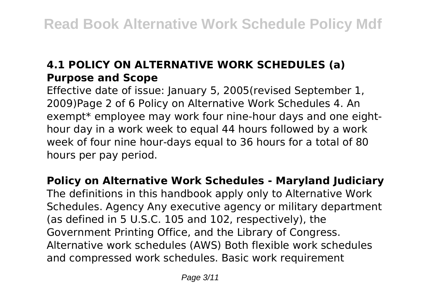## **4.1 POLICY ON ALTERNATIVE WORK SCHEDULES (a) Purpose and Scope**

Effective date of issue: January 5, 2005(revised September 1, 2009)Page 2 of 6 Policy on Alternative Work Schedules 4. An exempt\* employee may work four nine-hour days and one eighthour day in a work week to equal 44 hours followed by a work week of four nine hour-days equal to 36 hours for a total of 80 hours per pay period.

**Policy on Alternative Work Schedules - Maryland Judiciary** The definitions in this handbook apply only to Alternative Work Schedules. Agency Any executive agency or military department (as defined in 5 U.S.C. 105 and 102, respectively), the Government Printing Office, and the Library of Congress. Alternative work schedules (AWS) Both flexible work schedules and compressed work schedules. Basic work requirement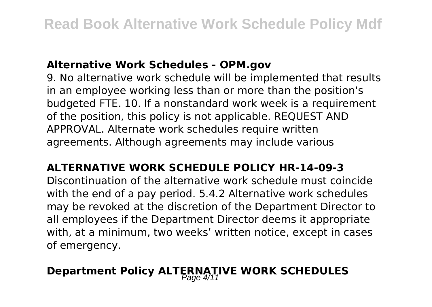#### **Alternative Work Schedules - OPM.gov**

9. No alternative work schedule will be implemented that results in an employee working less than or more than the position's budgeted FTE. 10. If a nonstandard work week is a requirement of the position, this policy is not applicable. REQUEST AND APPROVAL. Alternate work schedules require written agreements. Although agreements may include various

#### **ALTERNATIVE WORK SCHEDULE POLICY HR-14-09-3**

Discontinuation of the alternative work schedule must coincide with the end of a pay period. 5.4.2 Alternative work schedules may be revoked at the discretion of the Department Director to all employees if the Department Director deems it appropriate with, at a minimum, two weeks' written notice, except in cases of emergency.

## **Department Policy ALTERNATIVE WORK SCHEDULES**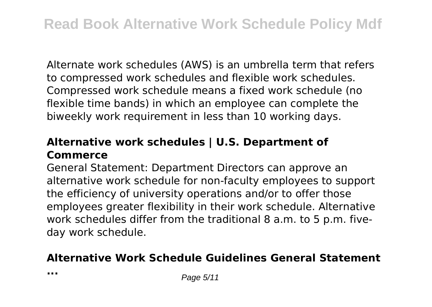Alternate work schedules (AWS) is an umbrella term that refers to compressed work schedules and flexible work schedules. Compressed work schedule means a fixed work schedule (no flexible time bands) in which an employee can complete the biweekly work requirement in less than 10 working days.

#### **Alternative work schedules | U.S. Department of Commerce**

General Statement: Department Directors can approve an alternative work schedule for non-faculty employees to support the efficiency of university operations and/or to offer those employees greater flexibility in their work schedule. Alternative work schedules differ from the traditional 8 a.m. to 5 p.m. fiveday work schedule.

#### **Alternative Work Schedule Guidelines General Statement**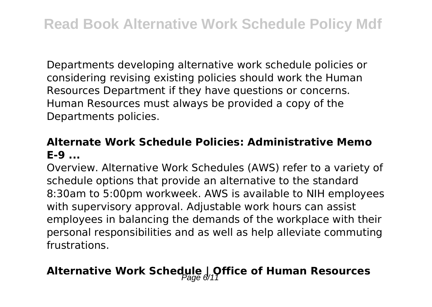Departments developing alternative work schedule policies or considering revising existing policies should work the Human Resources Department if they have questions or concerns. Human Resources must always be provided a copy of the Departments policies.

#### **Alternate Work Schedule Policies: Administrative Memo E-9 ...**

Overview. Alternative Work Schedules (AWS) refer to a variety of schedule options that provide an alternative to the standard 8:30am to 5:00pm workweek. AWS is available to NIH employees with supervisory approval. Adjustable work hours can assist employees in balancing the demands of the workplace with their personal responsibilities and as well as help alleviate commuting frustrations.

## Alternative Work Schedule | Office of Human Resources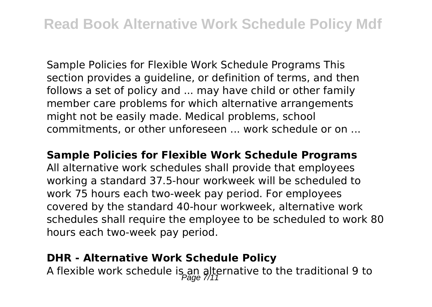Sample Policies for Flexible Work Schedule Programs This section provides a guideline, or definition of terms, and then follows a set of policy and ... may have child or other family member care problems for which alternative arrangements might not be easily made. Medical problems, school commitments, or other unforeseen ... work schedule or on ...

#### **Sample Policies for Flexible Work Schedule Programs**

All alternative work schedules shall provide that employees working a standard 37.5-hour workweek will be scheduled to work 75 hours each two-week pay period. For employees covered by the standard 40-hour workweek, alternative work schedules shall require the employee to be scheduled to work 80 hours each two-week pay period.

#### **DHR - Alternative Work Schedule Policy**

A flexible work schedule is an alternative to the traditional 9 to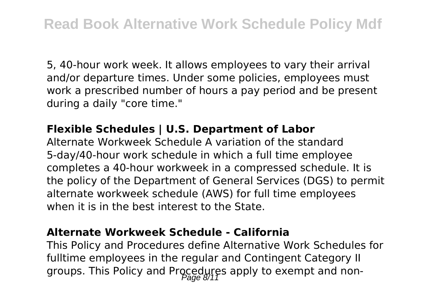5, 40-hour work week. It allows employees to vary their arrival and/or departure times. Under some policies, employees must work a prescribed number of hours a pay period and be present during a daily "core time."

#### **Flexible Schedules | U.S. Department of Labor**

Alternate Workweek Schedule A variation of the standard 5-day/40-hour work schedule in which a full time employee completes a 40-hour workweek in a compressed schedule. It is the policy of the Department of General Services (DGS) to permit alternate workweek schedule (AWS) for full time employees when it is in the best interest to the State.

#### **Alternate Workweek Schedule - California**

This Policy and Procedures define Alternative Work Schedules for fulltime employees in the regular and Contingent Category II groups. This Policy and Procedures apply to exempt and non-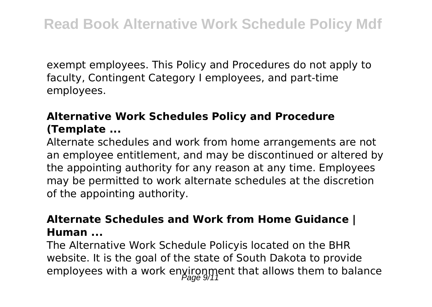exempt employees. This Policy and Procedures do not apply to faculty, Contingent Category I employees, and part-time employees.

### **Alternative Work Schedules Policy and Procedure (Template ...**

Alternate schedules and work from home arrangements are not an employee entitlement, and may be discontinued or altered by the appointing authority for any reason at any time. Employees may be permitted to work alternate schedules at the discretion of the appointing authority.

#### **Alternate Schedules and Work from Home Guidance | Human ...**

The Alternative Work Schedule Policyis located on the BHR website. It is the goal of the state of South Dakota to provide employees with a work environment that allows them to balance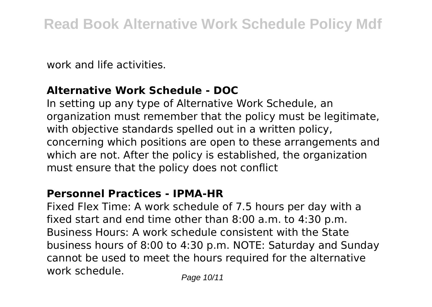work and life activities.

#### **Alternative Work Schedule - DOC**

In setting up any type of Alternative Work Schedule, an organization must remember that the policy must be legitimate, with objective standards spelled out in a written policy, concerning which positions are open to these arrangements and which are not. After the policy is established, the organization must ensure that the policy does not conflict

#### **Personnel Practices - IPMA-HR**

Fixed Flex Time: A work schedule of 7.5 hours per day with a fixed start and end time other than 8:00 a.m. to 4:30 p.m. Business Hours: A work schedule consistent with the State business hours of 8:00 to 4:30 p.m. NOTE: Saturday and Sunday cannot be used to meet the hours required for the alternative work schedule.<br>
Page 10/11